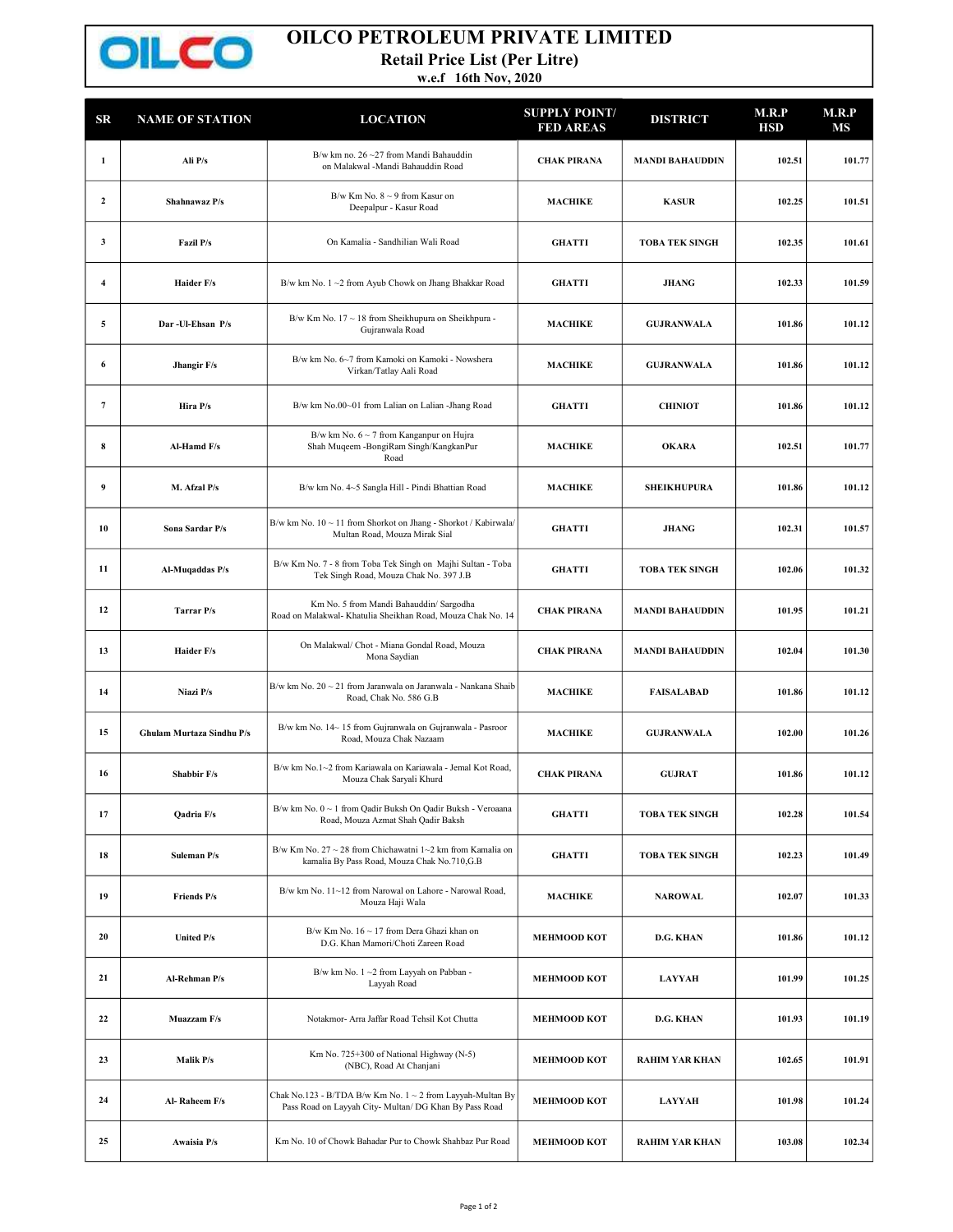

## OILCO PETROLEUM PRIVATE LIMITED

Retail Price List (Per Litre)

w.e.f 16th Nov, 2020

101.430 100.690

| SR             | <b>NAME OF STATION</b>    | <b>LOCATION</b>                                                                                                      | <b>SUPPLY POINT/</b><br><b>FED AREAS</b> | <b>DISTRICT</b>        | M.R.P<br>HSD | M.R.P<br>MS |
|----------------|---------------------------|----------------------------------------------------------------------------------------------------------------------|------------------------------------------|------------------------|--------------|-------------|
| 1              | Ali P/s                   | B/w km no. $26 - 27$ from Mandi Bahauddin<br>on Malakwal -Mandi Bahauddin Road                                       | <b>CHAK PIRANA</b>                       | <b>MANDI BAHAUDDIN</b> | 102.51       | 101.77      |
| $\mathbf{2}$   | Shahnawaz P/s             | B/w Km No. $8 \sim 9$ from Kasur on<br>Deepalpur - Kasur Road                                                        | <b>MACHIKE</b>                           | <b>KASUR</b>           | 102.25       | 101.51      |
| 3              | <b>Fazil P/s</b>          | On Kamalia - Sandhilian Wali Road                                                                                    | <b>GHATTI</b>                            | <b>TOBA TEK SINGH</b>  | 102.35       | 101.61      |
| 4              | Haider F/s                | B/w km No. 1~2 from Ayub Chowk on Jhang Bhakkar Road                                                                 | <b>GHATTI</b>                            | <b>JHANG</b>           | 102.33       | 101.59      |
| 5              | Dar-Ul-Ehsan P/s          | B/w Km No. 17 ~ 18 from Sheikhupura on Sheikhpura -<br>Gujranwala Road                                               | <b>MACHIKE</b>                           | <b>GUJRANWALA</b>      | 101.86       | 101.12      |
| 6              | Jhangir F/s               | B/w km No. 6~7 from Kamoki on Kamoki - Nowshera<br>Virkan/Tatlay Aali Road                                           | <b>MACHIKE</b>                           | <b>GUJRANWALA</b>      | 101.86       | 101.12      |
| $\overline{7}$ | Hira P/s                  | B/w km No.00~01 from Lalian on Lalian -Jhang Road                                                                    | <b>GHATTI</b>                            | <b>CHINIOT</b>         | 101.86       | 101.12      |
| 8              | Al-Hamd F/s               | B/w km No. $6 \sim 7$ from Kanganpur on Hujra<br>Shah Muqeem -BongiRam Singh/KangkanPur<br>Road                      | <b>MACHIKE</b>                           | <b>OKARA</b>           | 102.51       | 101.77      |
| 9              | M. Afzal P/s              | B/w km No. 4~5 Sangla Hill - Pindi Bhattian Road                                                                     | <b>MACHIKE</b>                           | <b>SHEIKHUPURA</b>     | 101.86       | 101.12      |
| 10             | Sona Sardar P/s           | B/w km No. 10 ~ 11 from Shorkot on Jhang - Shorkot / Kabirwala/<br>Multan Road, Mouza Mirak Sial                     | <b>GHATTI</b>                            | <b>JHANG</b>           | 102.31       | 101.57      |
| 11             | Al-Muqaddas P/s           | B/w Km No. 7 - 8 from Toba Tek Singh on Majhi Sultan - Toba<br>Tek Singh Road, Mouza Chak No. 397 J.B                | <b>GHATTI</b>                            | <b>TOBA TEK SINGH</b>  | 102.06       | 101.32      |
| 12             | Tarrar P/s                | Km No. 5 from Mandi Bahauddin/ Sargodha<br>Road on Malakwal- Khatulia Sheikhan Road, Mouza Chak No. 14               | <b>CHAK PIRANA</b>                       | <b>MANDI BAHAUDDIN</b> | 101.95       | 101.21      |
| 13             | Haider F/s                | On Malakwal/ Chot - Miana Gondal Road, Mouza<br>Mona Saydian                                                         | <b>CHAK PIRANA</b>                       | <b>MANDI BAHAUDDIN</b> | 102.04       | 101.30      |
| 14             | Niazi P/s                 | B/w km No. 20 ~ 21 from Jaranwala on Jaranwala - Nankana Shaib<br>Road, Chak No. 586 G.B                             | <b>MACHIKE</b>                           | <b>FAISALABAD</b>      | 101.86       | 101.12      |
| 15             | Ghulam Murtaza Sindhu P/s | B/w km No. 14~15 from Gujranwala on Gujranwala - Pasroor<br>Road, Mouza Chak Nazaam                                  | <b>MACHIKE</b>                           | <b>GUJRANWALA</b>      | 102.00       | 101.26      |
| 16             | Shabbir F/s               | B/w km No.1~2 from Kariawala on Kariawala - Jemal Kot Road,<br>Mouza Chak Saryali Khurd                              | <b>CHAK PIRANA</b>                       | <b>GUJRAT</b>          | 101.86       | 101.12      |
| 17             | Qadria F/s                | B/w km No. 0 ~ 1 from Qadir Buksh On Qadir Buksh - Veroaana<br>Road, Mouza Azmat Shah Qadir Baksh                    | <b>GHATTI</b>                            | <b>TOBA TEK SINGH</b>  | 102.28       | 101.54      |
| 18             | Suleman P/s               | B/w Km No. 27 ~ 28 from Chichawatni 1~2 km from Kamalia on<br>kamalia By Pass Road, Mouza Chak No.710,G.B            | <b>GHATTI</b>                            | <b>TOBA TEK SINGH</b>  | 102.23       | 101.49      |
| 19             | Friends P/s               | B/w km No. 11~12 from Narowal on Lahore - Narowal Road,<br>Mouza Haji Wala                                           | <b>MACHIKE</b>                           | <b>NAROWAL</b>         | 102.07       | 101.33      |
| 20             | United P/s                | B/w Km No. 16 ~ 17 from Dera Ghazi khan on<br>D.G. Khan Mamori/Choti Zareen Road                                     | <b>MEHMOOD KOT</b>                       | <b>D.G. KHAN</b>       | 101.86       | 101.12      |
| 21             | Al-Rehman P/s             | B/w km No. 1~2 from Layyah on Pabban -<br>Layyah Road                                                                | <b>MEHMOOD KOT</b>                       | <b>LAYYAH</b>          | 101.99       | 101.25      |
| 22             | Muazzam F/s               | Notakmor- Arra Jaffar Road Tehsil Kot Chutta                                                                         | <b>MEHMOOD KOT</b>                       | <b>D.G. KHAN</b>       | 101.93       | 101.19      |
| 23             | Malik P/s                 | Km No. 725+300 of National Highway (N-5)<br>(NBC), Road At Chanjani                                                  | <b>MEHMOOD KOT</b>                       | <b>RAHIM YAR KHAN</b>  | 102.65       | 101.91      |
| 24             | Al-Raheem F/s             | Chak No.123 - B/TDA B/w Km No. 1 ~ 2 from Layyah-Multan By<br>Pass Road on Layyah City- Multan/ DG Khan By Pass Road | <b>MEHMOOD KOT</b>                       | <b>LAYYAH</b>          | 101.98       | 101.24      |
| 25             | Awaisia P/s               | Km No. 10 of Chowk Bahadar Pur to Chowk Shahbaz Pur Road                                                             | <b>MEHMOOD KOT</b>                       | <b>RAHIM YAR KHAN</b>  | 103.08       | 102.34      |